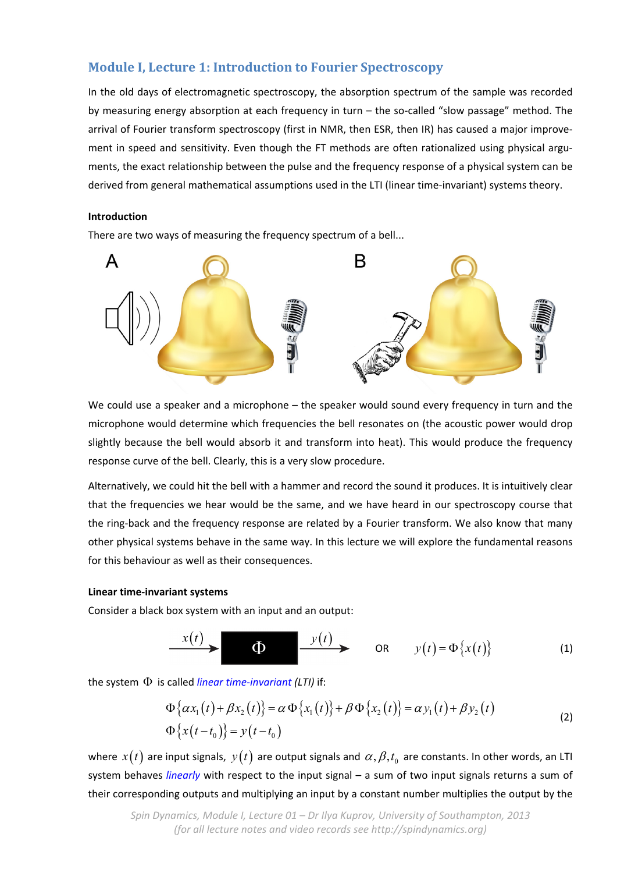# **Module I, Lecture 1: Introduction to Fourier Spectroscopy**

In the old days of electromagnetic spectroscopy, the absorption spectrum of the sample was recorded by measuring energy absorption at each frequency in turn – the so-called "slow passage" method. The arrival of Fourier transform spectroscopy (first in NMR, then ESR, then IR) has caused a major improve‐ ment in speed and sensitivity. Even though the FT methods are often rationalized using physical arguments, the exact relationship between the pulse and the frequency response of a physical system can be derived from general mathematical assumptions used in the LTI (linear time‐invariant) systems theory.

# **Introduction**

There are two ways of measuring the frequency spectrum of a bell...



We could use a speaker and a microphone – the speaker would sound every frequency in turn and the microphone would determine which frequencies the bell resonates on (the acoustic power would drop slightly because the bell would absorb it and transform into heat). This would produce the frequency response curve of the bell. Clearly, this is a very slow procedure.

Alternatively, we could hit the bell with a hammer and record the sound it produces. It is intuitively clear that the frequencies we hear would be the same, and we have heard in our spectroscopy course that the ring‐back and the frequency response are related by a Fourier transform. We also know that many other physical systems behave in the same way. In this lecture we will explore the fundamental reasons for this behaviour as well as their consequences.

## **Linear time‐invariant systems**

Consider a black box system with an input and an output:

$$
\xrightarrow{\quad x(t)} \qquad \qquad \text{or} \qquad \qquad y(t) = \Phi\{x(t)\} \qquad (1)
$$

the system  $\Phi$  is called *linear time-invariant* (LTI) if:

$$
\Phi\{\alpha x_1(t) + \beta x_2(t)\} = \alpha \Phi\{x_1(t)\} + \beta \Phi\{x_2(t)\} = \alpha y_1(t) + \beta y_2(t)
$$
  
\n
$$
\Phi\{x(t-t_0)\} = y(t-t_0)
$$
\n(2)

where  $x(t)$  are input signals,  $y(t)$  are output signals and  $\alpha, \beta, t_0$  are constants. In other words, an LTI system behaves *linearly* with respect to the input signal – a sum of two input signals returns a sum of their corresponding outputs and multiplying an input by a constant number multiplies the output by the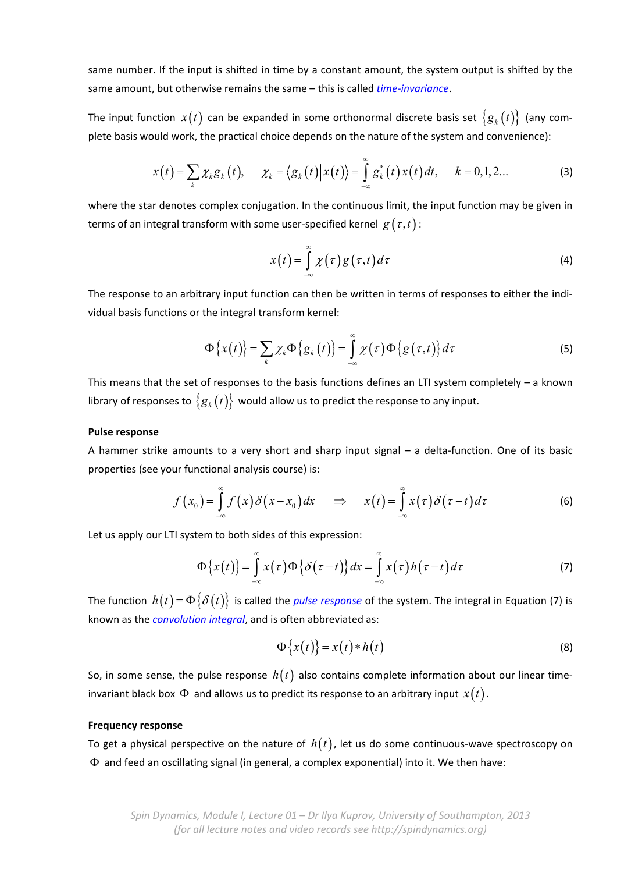same number. If the input is shifted in time by a constant amount, the system output is shifted by the same amount, but otherwise remains the same – this is called *time‐invariance*.

The input function  $x(t)$  can be expanded in some orthonormal discrete basis set  $\{g_k(t)\}\$  (any complete basis would work, the practical choice depends on the nature of the system and convenience):

$$
x(t) = \sum_{k} \chi_{k} g_{k}(t), \quad \chi_{k} = \langle g_{k}(t) | x(t) \rangle = \int_{-\infty}^{\infty} g_{k}^{*}(t) x(t) dt, \quad k = 0, 1, 2... \tag{3}
$$

where the star denotes complex conjugation. In the continuous limit, the input function may be given in terms of an integral transform with some user-specified kernel  $g(\tau, t)$ :

$$
x(t) = \int_{-\infty}^{\infty} \chi(\tau) g(\tau, t) d\tau
$$
 (4)

The response to an arbitrary input function can then be written in terms of responses to either the individual basis functions or the integral transform kernel:

$$
\Phi\big\{x(t)\big\} = \sum_{k} \chi_{k} \Phi\big\{g_{k}\big(t\big)\big\} = \int_{-\infty}^{\infty} \chi\big(\tau\big) \Phi\big\{g\big(\tau,t\big)\big\} d\tau \tag{5}
$$

This means that the set of responses to the basis functions defines an LTI system completely  $-$  a known library of responses to  $\{g_k(t)\}\)$  would allow us to predict the response to any input.

#### **Pulse response**

A hammer strike amounts to a very short and sharp input signal – a delta‐function. One of its basic properties (see your functional analysis course) is:

$$
f(x_0) = \int_{-\infty}^{\infty} f(x) \delta(x - x_0) dx \quad \Rightarrow \quad x(t) = \int_{-\infty}^{\infty} x(\tau) \delta(\tau - t) d\tau \tag{6}
$$

Let us apply our LTI system to both sides of this expression:

$$
\Phi\{x(t)\}=\int\limits_{-\infty}^{\infty}x(\tau)\Phi\{\delta(\tau-t)\}dx=\int\limits_{-\infty}^{\infty}x(\tau)h(\tau-t)d\tau
$$
\n(7)

The function  $h(t) = \Phi\{\delta(t)\}\$ is called the *pulse response* of the system. The integral in Equation (7) is known as the *convolution integral*, and is often abbreviated as:

$$
\Phi\{x(t)\} = x(t) * h(t) \tag{8}
$$

So, in some sense, the pulse response  $h(t)$  also contains complete information about our linear timeinvariant black box  $\Phi$  and allows us to predict its response to an arbitrary input  $x(t)$ .

## **Frequency response**

To get a physical perspective on the nature of  $h(t)$ , let us do some continuous-wave spectroscopy on  $\Phi$  and feed an oscillating signal (in general, a complex exponential) into it. We then have: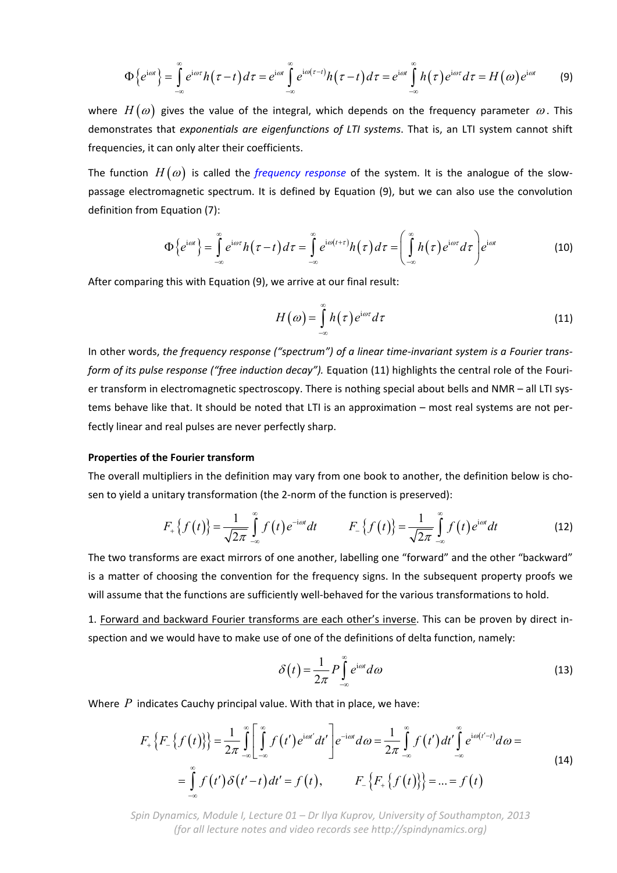$$
\Phi\left\{e^{i\omega t}\right\} = \int\limits_{-\infty}^{\infty} e^{i\omega \tau} h(\tau - t) d\tau = e^{i\omega t} \int\limits_{-\infty}^{\infty} e^{i\omega(\tau - t)} h(\tau - t) d\tau = e^{i\omega t} \int\limits_{-\infty}^{\infty} h(\tau) e^{i\omega \tau} d\tau = H(\omega) e^{i\omega t} \tag{9}
$$

where  $H(\omega)$  gives the value of the integral, which depends on the frequency parameter  $\omega$ . This demonstrates that *exponentials are eigenfunctions of LTI systems*. That is, an LTI system cannot shift frequencies, it can only alter their coefficients.

The function  $H(\omega)$  is called the *frequency response* of the system. It is the analogue of the slowpassage electromagnetic spectrum. It is defined by Equation (9), but we can also use the convolution definition from Equation (7):

$$
\Phi\left\{e^{i\omega t}\right\} = \int\limits_{-\infty}^{\infty} e^{i\omega \tau} h(\tau - t) d\tau = \int\limits_{-\infty}^{\infty} e^{i\omega(t+\tau)} h(\tau) d\tau = \left(\int\limits_{-\infty}^{\infty} h(\tau) e^{i\omega \tau} d\tau\right) e^{i\omega t}
$$
(10)

After comparing this with Equation (9), we arrive at our final result:

$$
H(\omega) = \int_{-\infty}^{\infty} h(\tau) e^{i\omega \tau} d\tau
$$
 (11)

In other words, *the frequency response ("spectrum") of a linear time‐invariant system is a Fourier trans‐ form of its pulse response ("free induction decay").* Equation (11) highlights the central role of the Fouri‐ er transform in electromagnetic spectroscopy. There is nothing special about bells and NMR – all LTI systems behave like that. It should be noted that LTI is an approximation – most real systems are not perfectly linear and real pulses are never perfectly sharp.

#### **Properties of the Fourier transform**

The overall multipliers in the definition may vary from one book to another, the definition below is chosen to yield a unitary transformation (the 2-norm of the function is preserved):

$$
F_{+}\left\{f(t)\right\} = \frac{1}{\sqrt{2\pi}} \int_{-\infty}^{\infty} f(t) e^{-i\omega t} dt \qquad F_{-}\left\{f(t)\right\} = \frac{1}{\sqrt{2\pi}} \int_{-\infty}^{\infty} f(t) e^{i\omega t} dt \qquad (12)
$$

The two transforms are exact mirrors of one another, labelling one "forward" and the other "backward" is a matter of choosing the convention for the frequency signs. In the subsequent property proofs we will assume that the functions are sufficiently well-behaved for the various transformations to hold.

1. Forward and backward Fourier transforms are each other's inverse. This can be proven by direct in‐ spection and we would have to make use of one of the definitions of delta function, namely:

$$
\delta(t) = \frac{1}{2\pi} P \int_{-\infty}^{\infty} e^{i\omega t} d\omega
$$
\n(13)

Where *P* indicates Cauchy principal value. With that in place, we have:

$$
F_{+}\left\{F_{-}\left\{f\left(t\right)\right\}\right\} = \frac{1}{2\pi} \int_{-\infty}^{\infty} \left[ \int_{-\infty}^{\infty} f\left(t'\right) e^{i\omega t'} dt' \right] e^{-i\omega t} d\omega = \frac{1}{2\pi} \int_{-\infty}^{\infty} f\left(t'\right) dt' \int_{-\infty}^{\infty} e^{i\omega\left(t'-t\right)} d\omega =
$$
\n
$$
= \int_{-\infty}^{\infty} f\left(t'\right) \delta\left(t'-t\right) dt' = f\left(t\right), \qquad F_{-}\left\{F_{+}\left\{f\left(t\right)\right\}\right\} = \dots = f\left(t\right)
$$
\n(14)

*Spin Dynamics, Module I, Lecture 01 – Dr Ilya Kuprov, University of Southampton, 2013 (for all lecture notes and video records see http://spindynamics.org)*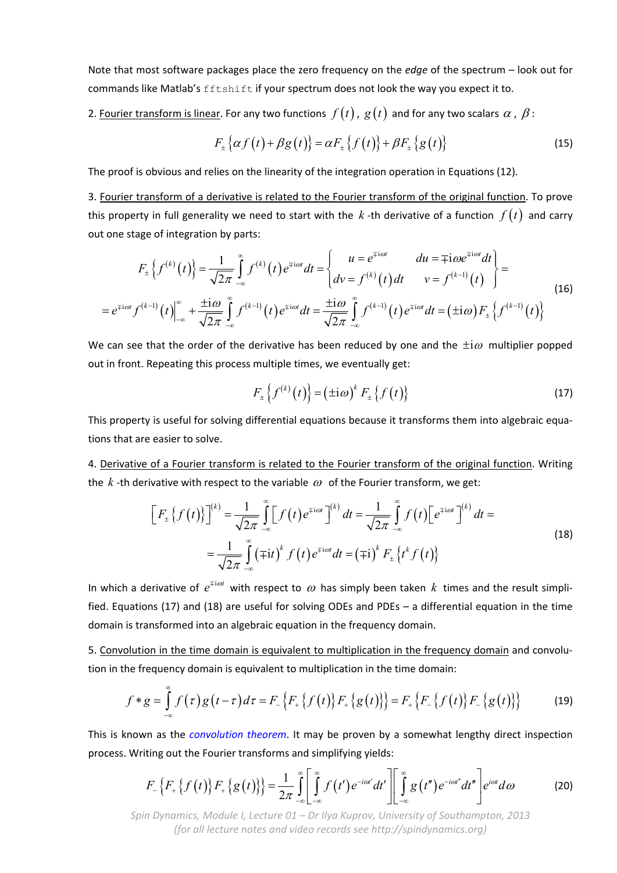Note that most software packages place the zero frequency on the *edge* of the spectrum – look out for commands like Matlab's fftshift if your spectrum does not look the way you expect it to.

2. Fourier transform is linear. For any two functions  $f(t)$ ,  $g(t)$  and for any two scalars  $\alpha$ ,  $\beta$ :

$$
F_{\pm}\left\{\alpha f\left(t\right)+\beta g\left(t\right)\right\}=\alpha F_{\pm}\left\{f\left(t\right)\right\}+\beta F_{\pm}\left\{g\left(t\right)\right\}\tag{15}
$$

The proof is obvious and relies on the linearity of the integration operation in Equations (12).

3. Fourier transform of a derivative is related to the Fourier transform of the original function. To prove this property in full generality we need to start with the  $k$  -th derivative of a function  $f(t)$  and carry out one stage of integration by parts:

$$
F_{\pm}\left\{f^{(k)}(t)\right\} = \frac{1}{\sqrt{2\pi}} \int_{-\infty}^{\infty} f^{(k)}(t) e^{\mp i\omega t} dt = \begin{cases} u = e^{\mp i\omega t} & du = \mp i\omega e^{\mp i\omega t} dt \\ dv = f^{(k)}(t) dt & v = f^{(k-1)}(t) \end{cases} = e^{\mp i\omega t} f^{(k-1)}(t) \Big|_{-\infty}^{\infty} + \frac{\pm i\omega}{\sqrt{2\pi}} \int_{-\infty}^{\infty} f^{(k-1)}(t) e^{\mp i\omega t} dt = \frac{\pm i\omega}{\sqrt{2\pi}} \int_{-\infty}^{\infty} f^{(k-1)}(t) e^{\mp i\omega t} dt = (\pm i\omega) F_{\pm}\left\{f^{(k-1)}(t)\right\} \tag{16}
$$

We can see that the order of the derivative has been reduced by one and the  $\pm i \omega$  multiplier popped out in front. Repeating this process multiple times, we eventually get:

$$
F_{\pm}\left\{f^{(k)}(t)\right\} = \left(\pm i\omega\right)^k F_{\pm}\left\{f(t)\right\} \tag{17}
$$

This property is useful for solving differential equations because it transforms them into algebraic equa‐ tions that are easier to solve.

4. Derivative of a Fourier transform is related to the Fourier transform of the original function. Writing the  $k$ -th derivative with respect to the variable  $\omega$  of the Fourier transform, we get:

$$
\left[F_{\pm}\left\{f(t)\right\}\right]^{(k)} = \frac{1}{\sqrt{2\pi}} \int_{-\infty}^{\infty} \left[f(t)e^{\mp i\omega t}\right]^{(k)} dt = \frac{1}{\sqrt{2\pi}} \int_{-\infty}^{\infty} f(t)\left[e^{\mp i\omega t}\right]^{(k)} dt =
$$
\n
$$
= \frac{1}{\sqrt{2\pi}} \int_{-\infty}^{\infty} \left(\mp it\right)^{k} f(t)e^{\mp i\omega t} dt = \left(\mp i\right)^{k} F_{\pm}\left\{t^{k} f(t)\right\}
$$
\n(18)

In which a derivative of  $e^{\mp i \omega t}$  with respect to  $\omega$  has simply been taken k times and the result simplified. Equations (17) and (18) are useful for solving ODEs and PDEs – a differential equation in the time domain is transformed into an algebraic equation in the frequency domain.

5. Convolution in the time domain is equivalent to multiplication in the frequency domain and convolution in the frequency domain is equivalent to multiplication in the time domain:

$$
f * g = \int_{-\infty}^{\infty} f(\tau) g(t-\tau) d\tau = F_{-}\big\{F_{+}\big\{f(t)\big\} F_{+}\big\{g(t)\big\}\big\} = F_{+}\big\{F_{-}\big\{f(t)\big\} F_{-}\big\{g(t)\big\}\big\} \tag{19}
$$

This is known as the *convolution theorem*. It may be proven by a somewhat lengthy direct inspection process. Writing out the Fourier transforms and simplifying yields:

$$
F_{-}\left\{F_{+}\left\{f\left(t\right)\right\}F_{+}\left\{g\left(t\right)\right\}\right\}=\frac{1}{2\pi}\int_{-\infty}^{\infty}\left[\int_{-\infty}^{\infty}f\left(t'\right)e^{-i\omega t'}dt'\right]\left[\int_{-\infty}^{\infty}g\left(t''\right)e^{-i\omega t'}dt''\right]e^{i\omega t}d\omega\tag{20}
$$

*Spin Dynamics, Module I, Lecture 01 – Dr Ilya Kuprov, University of Southampton, 2013 (for all lecture notes and video records see http://spindynamics.org)*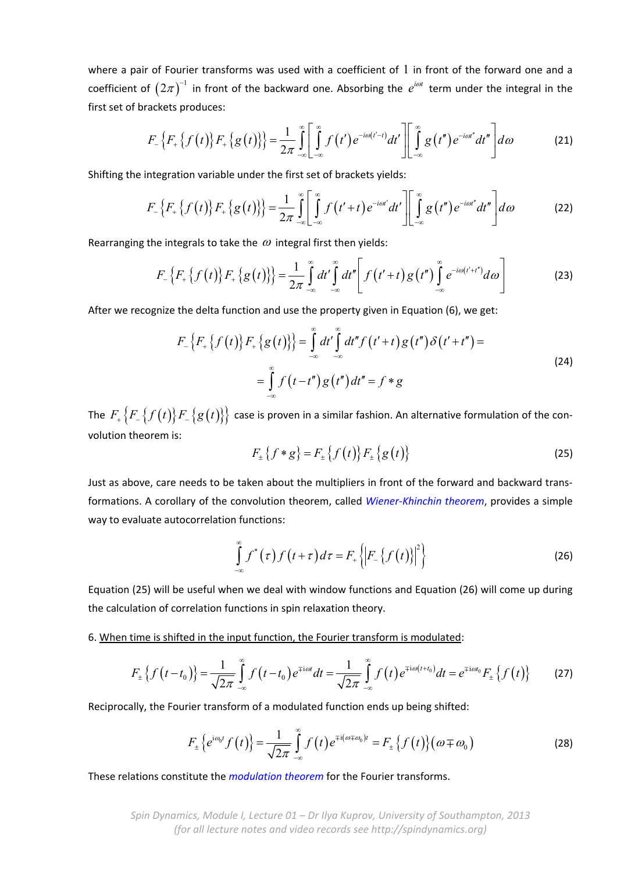where a pair of Fourier transforms was used with a coefficient of  $1$  in front of the forward one and a coefficient of  $(2\pi)^{-1}$  in front of the backward one. Absorbing the  $e^{i\omega t}$  term under the integral in the first set of brackets produces:

$$
F_{-}\left\{F_{+}\left\{f\left(t\right)\right\}F_{+}\left\{g\left(t\right)\right\}\right\}=\frac{1}{2\pi}\int_{-\infty}^{\infty}\left[\int_{-\infty}^{\infty}f\left(t'\right)e^{-i\omega\left(t'-t\right)}dt'\right]\left[\int_{-\infty}^{\infty}g\left(t''\right)e^{-i\omega t''}dt''\right]d\omega\tag{21}
$$

Shifting the integration variable under the first set of brackets yields:

$$
F_{-}\left\{F_{+}\left\{f\left(t\right)\right\}F_{+}\left\{g\left(t\right)\right\}\right\}=\frac{1}{2\pi}\int_{-\infty}^{\infty}\left[\int_{-\infty}^{\infty}f\left(t'+t\right)e^{-i\omega t'}dt'\right]\left[\int_{-\infty}^{\infty}g\left(t''\right)e^{-i\omega t'}dt''\right]d\omega\tag{22}
$$

Rearranging the integrals to take the  $\omega$  integral first then yields:

$$
F_{-}\left\{F_{+}\left\{f\left(t\right)\right\}F_{+}\left\{g\left(t\right)\right\}\right\}=\frac{1}{2\pi}\int\limits_{-\infty}^{\infty}dt'\int\limits_{-\infty}^{\infty}dt''\left[f\left(t'+t\right)g\left(t''\right)\int\limits_{-\infty}^{\infty}e^{-i\omega\left(t'+t''\right)}d\omega\right]
$$
(23)

After we recognize the delta function and use the property given in Equation (6), we get:

$$
F_{-}\{F_{+}\{f(t)\}F_{+}\{g(t)\}\}=\int_{-\infty}^{\infty}dt'\int_{-\infty}^{\infty}dt''f(t'+t)g(t'')\delta(t'+t'')=\newline=\int_{-\infty}^{\infty}f(t-t'')g(t'')dt''=f*g
$$
\n(24)

The  $F_{+}$   $\{F_{-}\{f(t)\}F_{-}\{g(t)\}\}$  case is proven in a similar fashion. An alternative formulation of the convolution theorem is:

$$
F_{\pm}\{f * g\} = F_{\pm}\{f(t)\} F_{\pm}\{g(t)\}\tag{25}
$$

Just as above, care needs to be taken about the multipliers in front of the forward and backward trans‐ formations. A corollary of the convolution theorem, called *Wiener‐Khinchin theorem*, provides a simple way to evaluate autocorrelation functions:

$$
\int_{-\infty}^{\infty} f^*(\tau) f\left(t + \tau\right) d\tau = F_+ \left\{ \left| F_- \left\{ f\left(t\right) \right\} \right|^2 \right\} \tag{26}
$$

Equation (25) will be useful when we deal with window functions and Equation (26) will come up during the calculation of correlation functions in spin relaxation theory.

6. When time is shifted in the input function, the Fourier transform is modulated:

$$
F_{\pm}\left\{f\left(t-t_{0}\right)\right\} = \frac{1}{\sqrt{2\pi}}\int_{-\infty}^{\infty} f\left(t-t_{0}\right)e^{\mp i\omega t}dt = \frac{1}{\sqrt{2\pi}}\int_{-\infty}^{\infty} f\left(t\right)e^{\mp i\omega\left(t+t_{0}\right)}dt = e^{\mp i\omega t_{0}}F_{\pm}\left\{f\left(t\right)\right\}
$$
(27)

Reciprocally, the Fourier transform of a modulated function ends up being shifted:

$$
F_{\pm}\left\{e^{i\omega_0 t}f(t)\right\} = \frac{1}{\sqrt{2\pi}}\int_{-\infty}^{\infty}f(t)e^{\mp i(\omega\mp\omega_0)t} = F_{\pm}\left\{f(t)\right\}(\omega\mp\omega_0)
$$
 (28)

These relations constitute the *modulation theorem* for the Fourier transforms.

*Spin Dynamics, Module I, Lecture 01 – Dr Ilya Kuprov, University of Southampton, 2013 (for all lecture notes and video records see http://spindynamics.org)*